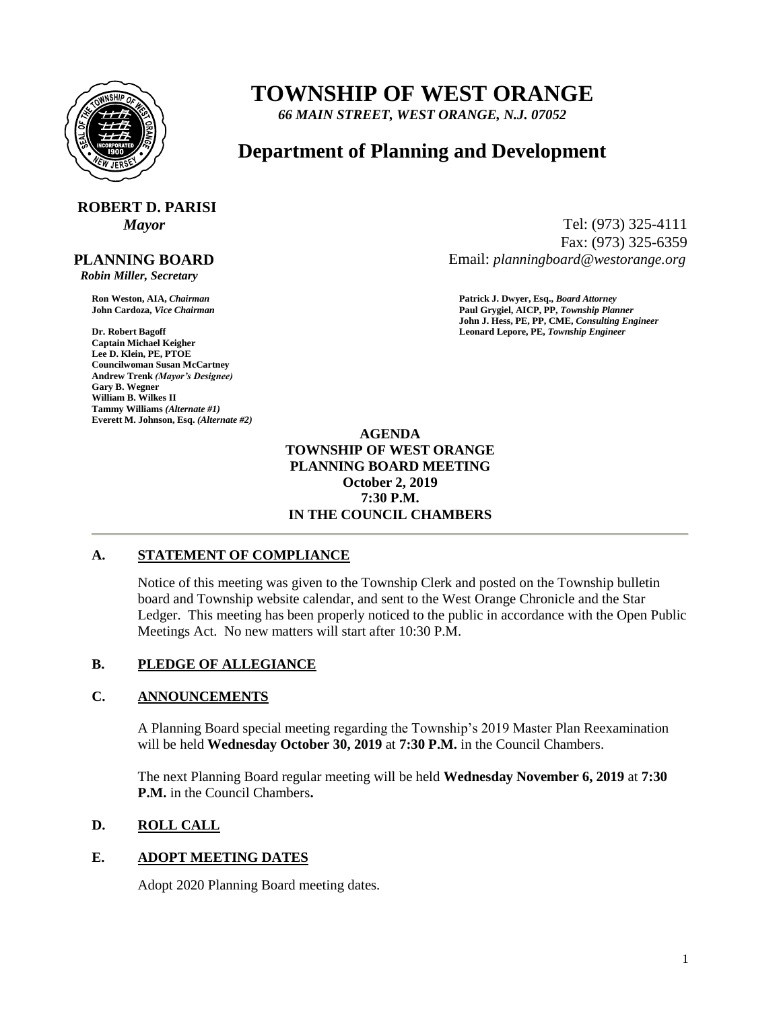

## **TOWNSHIP OF WEST ORANGE**

*66 MAIN STREET, WEST ORANGE, N.J. 07052*

### **Department of Planning and Development**

# **ROBERT D. PARISI**

 **PLANNING BOARD**

 *Robin Miller, Secretary*

**Captain Michael Keigher Lee D. Klein, PE, PTOE Councilwoman Susan McCartney Andrew Trenk** *(Mayor's Designee)* **Gary B. Wegner William B. Wilkes II Tammy Williams** *(Alternate #1)* **Everett M. Johnson, Esq.** *(Alternate #2)*

*Mayor* Tel: (973) 325-4111 Fax: (973) 325-6359 Email: *planningboard@westorange.org*

**Ron Weston, AIA,** *Chairman* **Patrick J. Dwyer, Esq.,** *Board Attorney* **John Cardoza,** *Vice Chairman* **Paul Grygiel, AICP, PP,** *Township Planner* **John J. Hess, PE, PP, CME,** *Consulting Engineer* **Dr. Robert Bagoff Leonard Lepore, PE,** *Township Engineer*

> **AGENDA TOWNSHIP OF WEST ORANGE PLANNING BOARD MEETING October 2, 2019 7:30 P.M. IN THE COUNCIL CHAMBERS**

#### **A. STATEMENT OF COMPLIANCE**

Notice of this meeting was given to the Township Clerk and posted on the Township bulletin board and Township website calendar, and sent to the West Orange Chronicle and the Star Ledger. This meeting has been properly noticed to the public in accordance with the Open Public Meetings Act. No new matters will start after 10:30 P.M.

#### **B. PLEDGE OF ALLEGIANCE**

#### **C. ANNOUNCEMENTS**

A Planning Board special meeting regarding the Township's 2019 Master Plan Reexamination will be held **Wednesday October 30, 2019** at **7:30 P.M.** in the Council Chambers.

The next Planning Board regular meeting will be held **Wednesday November 6, 2019** at **7:30 P.M.** in the Council Chambers**.**

#### **D. ROLL CALL**

#### **E. ADOPT MEETING DATES**

Adopt 2020 Planning Board meeting dates.